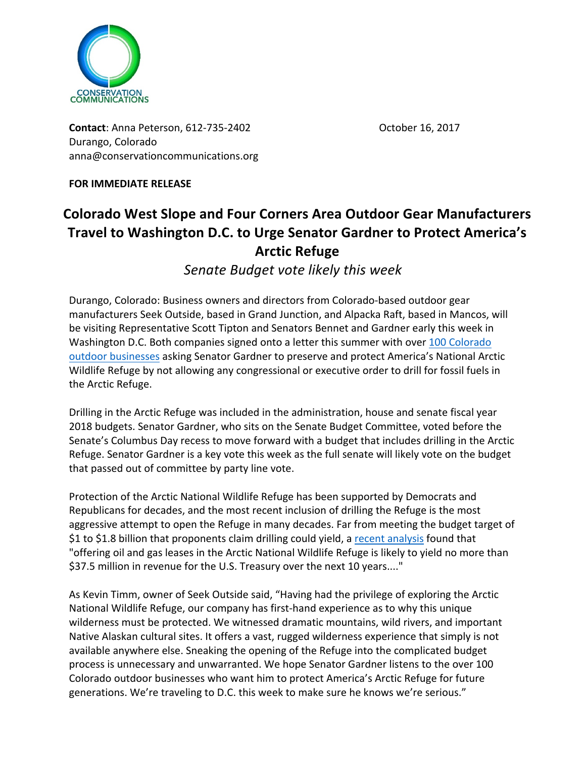

**Contact:** Anna Peterson, 612-735-2402 **Contact:** October 16, 2017 Durango, Colorado anna@conservationcommunications.org

**FOR IMMEDIATE RELEASE** 

## **Colorado West Slope and Four Corners Area Outdoor Gear Manufacturers Travel to Washington D.C. to Urge Senator Gardner to Protect America's Arctic Refuge**

*Senate Budget vote likely this week*

Durango, Colorado: Business owners and directors from Colorado-based outdoor gear manufacturers Seek Outside, based in Grand Junction, and Alpacka Raft, based in Mancos, will be visiting Representative Scott Tipton and Senators Bennet and Gardner early this week in Washington D.C. Both companies signed onto a letter this summer with over 100 Colorado outdoor businesses asking Senator Gardner to preserve and protect America's National Arctic Wildlife Refuge by not allowing any congressional or executive order to drill for fossil fuels in the Arctic Refuge.

Drilling in the Arctic Refuge was included in the administration, house and senate fiscal year 2018 budgets. Senator Gardner, who sits on the Senate Budget Committee, voted before the Senate's Columbus Day recess to move forward with a budget that includes drilling in the Arctic Refuge. Senator Gardner is a key vote this week as the full senate will likely vote on the budget that passed out of committee by party line vote.

Protection of the Arctic National Wildlife Refuge has been supported by Democrats and Republicans for decades, and the most recent inclusion of drilling the Refuge is the most aggressive attempt to open the Refuge in many decades. Far from meeting the budget target of \$1 to \$1.8 billion that proponents claim drilling could yield, a recent analysis found that "offering oil and gas leases in the Arctic National Wildlife Refuge is likely to yield no more than \$37.5 million in revenue for the U.S. Treasury over the next 10 years...."

As Kevin Timm, owner of Seek Outside said, "Having had the privilege of exploring the Arctic National Wildlife Refuge, our company has first-hand experience as to why this unique wilderness must be protected. We witnessed dramatic mountains, wild rivers, and important Native Alaskan cultural sites. It offers a vast, rugged wilderness experience that simply is not available anywhere else. Sneaking the opening of the Refuge into the complicated budget process is unnecessary and unwarranted. We hope Senator Gardner listens to the over 100 Colorado outdoor businesses who want him to protect America's Arctic Refuge for future generations. We're traveling to D.C. this week to make sure he knows we're serious."